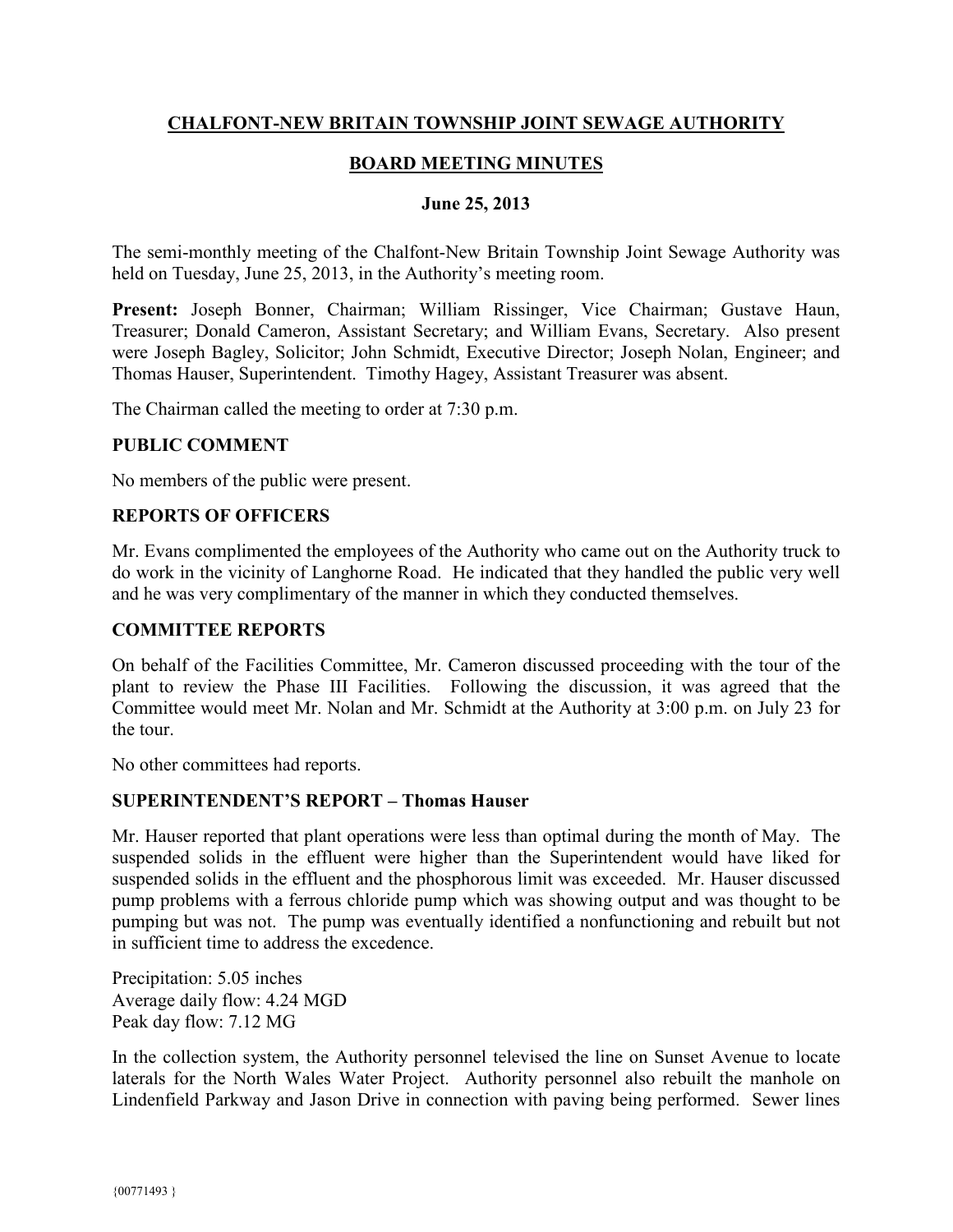# **CHALFONT-NEW BRITAIN TOWNSHIP JOINT SEWAGE AUTHORITY**

# **BOARD MEETING MINUTES**

## **June 25, 2013**

The semi-monthly meeting of the Chalfont-New Britain Township Joint Sewage Authority was held on Tuesday, June 25, 2013, in the Authority's meeting room.

**Present:** Joseph Bonner, Chairman; William Rissinger, Vice Chairman; Gustave Haun, Treasurer; Donald Cameron, Assistant Secretary; and William Evans, Secretary. Also present were Joseph Bagley, Solicitor; John Schmidt, Executive Director; Joseph Nolan, Engineer; and Thomas Hauser, Superintendent. Timothy Hagey, Assistant Treasurer was absent.

The Chairman called the meeting to order at 7:30 p.m.

## **PUBLIC COMMENT**

No members of the public were present.

## **REPORTS OF OFFICERS**

Mr. Evans complimented the employees of the Authority who came out on the Authority truck to do work in the vicinity of Langhorne Road. He indicated that they handled the public very well and he was very complimentary of the manner in which they conducted themselves.

## **COMMITTEE REPORTS**

On behalf of the Facilities Committee, Mr. Cameron discussed proceeding with the tour of the plant to review the Phase III Facilities. Following the discussion, it was agreed that the Committee would meet Mr. Nolan and Mr. Schmidt at the Authority at 3:00 p.m. on July 23 for the tour.

No other committees had reports.

#### **SUPERINTENDENT'S REPORT – Thomas Hauser**

Mr. Hauser reported that plant operations were less than optimal during the month of May. The suspended solids in the effluent were higher than the Superintendent would have liked for suspended solids in the effluent and the phosphorous limit was exceeded. Mr. Hauser discussed pump problems with a ferrous chloride pump which was showing output and was thought to be pumping but was not. The pump was eventually identified a nonfunctioning and rebuilt but not in sufficient time to address the excedence.

Precipitation: 5.05 inches Average daily flow: 4.24 MGD Peak day flow: 7.12 MG

In the collection system, the Authority personnel televised the line on Sunset Avenue to locate laterals for the North Wales Water Project. Authority personnel also rebuilt the manhole on Lindenfield Parkway and Jason Drive in connection with paving being performed. Sewer lines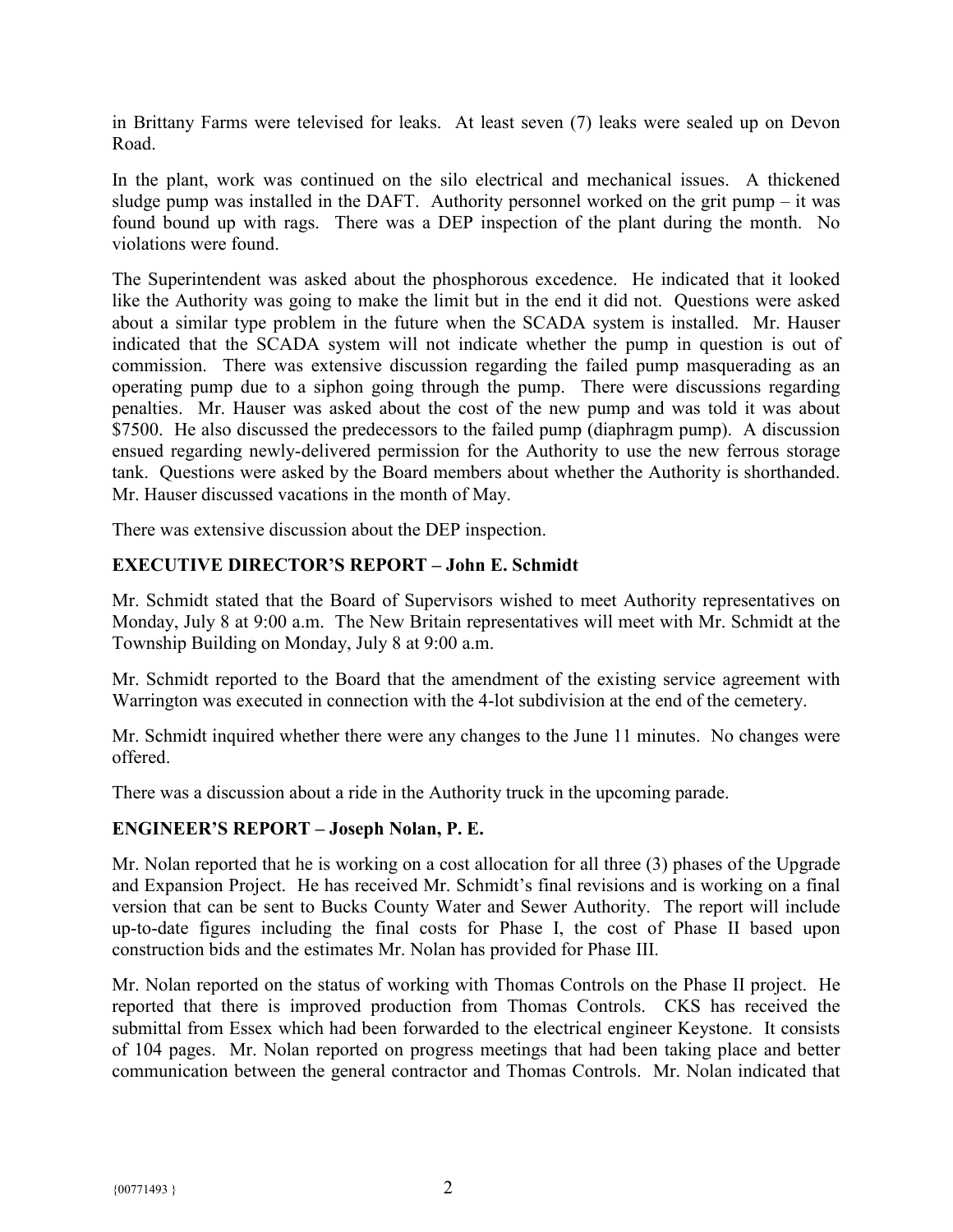in Brittany Farms were televised for leaks. At least seven (7) leaks were sealed up on Devon Road.

In the plant, work was continued on the silo electrical and mechanical issues. A thickened sludge pump was installed in the DAFT. Authority personnel worked on the grit pump – it was found bound up with rags. There was a DEP inspection of the plant during the month. No violations were found.

The Superintendent was asked about the phosphorous excedence. He indicated that it looked like the Authority was going to make the limit but in the end it did not. Questions were asked about a similar type problem in the future when the SCADA system is installed. Mr. Hauser indicated that the SCADA system will not indicate whether the pump in question is out of commission. There was extensive discussion regarding the failed pump masquerading as an operating pump due to a siphon going through the pump. There were discussions regarding penalties. Mr. Hauser was asked about the cost of the new pump and was told it was about \$7500. He also discussed the predecessors to the failed pump (diaphragm pump). A discussion ensued regarding newly-delivered permission for the Authority to use the new ferrous storage tank. Questions were asked by the Board members about whether the Authority is shorthanded. Mr. Hauser discussed vacations in the month of May.

There was extensive discussion about the DEP inspection.

# **EXECUTIVE DIRECTOR'S REPORT – John E. Schmidt**

Mr. Schmidt stated that the Board of Supervisors wished to meet Authority representatives on Monday, July 8 at 9:00 a.m. The New Britain representatives will meet with Mr. Schmidt at the Township Building on Monday, July 8 at 9:00 a.m.

Mr. Schmidt reported to the Board that the amendment of the existing service agreement with Warrington was executed in connection with the 4-lot subdivision at the end of the cemetery.

Mr. Schmidt inquired whether there were any changes to the June 11 minutes. No changes were offered.

There was a discussion about a ride in the Authority truck in the upcoming parade.

## **ENGINEER'S REPORT – Joseph Nolan, P. E.**

Mr. Nolan reported that he is working on a cost allocation for all three (3) phases of the Upgrade and Expansion Project. He has received Mr. Schmidt's final revisions and is working on a final version that can be sent to Bucks County Water and Sewer Authority. The report will include up-to-date figures including the final costs for Phase I, the cost of Phase II based upon construction bids and the estimates Mr. Nolan has provided for Phase III.

Mr. Nolan reported on the status of working with Thomas Controls on the Phase II project. He reported that there is improved production from Thomas Controls. CKS has received the submittal from Essex which had been forwarded to the electrical engineer Keystone. It consists of 104 pages. Mr. Nolan reported on progress meetings that had been taking place and better communication between the general contractor and Thomas Controls. Mr. Nolan indicated that